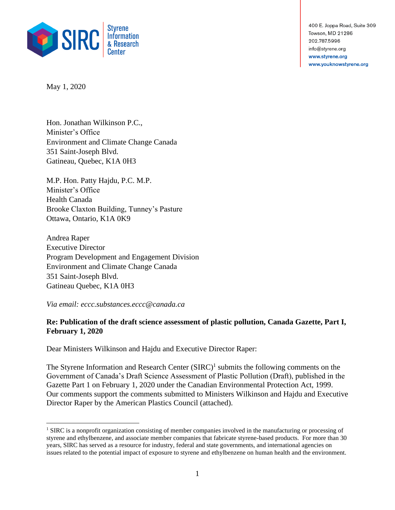

400 E. Joppa Road, Suite 309 Towson, MD 21286 202.787.5996 info@styrene.org www.styrene.org www.youknowstyrene.org

May 1, 2020

Hon. Jonathan Wilkinson P.C., Minister's Office Environment and Climate Change Canada 351 Saint-Joseph Blvd. Gatineau, Quebec, K1A 0H3

M.P. Hon. Patty Hajdu, P.C. M.P. Minister's Office Health Canada Brooke Claxton Building, Tunney's Pasture Ottawa, Ontario, K1A 0K9

Andrea Raper Executive Director Program Development and Engagement Division Environment and Climate Change Canada 351 Saint-Joseph Blvd. Gatineau Quebec, K1A 0H3

*Via email: eccc.substances.eccc@canada.ca*

## **Re: Publication of the draft science assessment of plastic pollution, Canada Gazette, Part I, February 1, 2020**

Dear Ministers Wilkinson and Hajdu and Executive Director Raper:

The Styrene Information and Research Center  $(SIRC)^1$  submits the following comments on the Government of Canada's Draft Science Assessment of Plastic Pollution (Draft), published in the Gazette Part 1 on February 1, 2020 under the Canadian Environmental Protection Act, 1999. Our comments support the comments submitted to Ministers Wilkinson and Hajdu and Executive Director Raper by the American Plastics Council (attached).

<sup>&</sup>lt;sup>1</sup> SIRC is a nonprofit organization consisting of member companies involved in the manufacturing or processing of styrene and ethylbenzene, and associate member companies that fabricate styrene-based products. For more than 30 years, SIRC has served as a resource for industry, federal and state governments, and international agencies on issues related to the potential impact of exposure to styrene and ethylbenzene on human health and the environment.